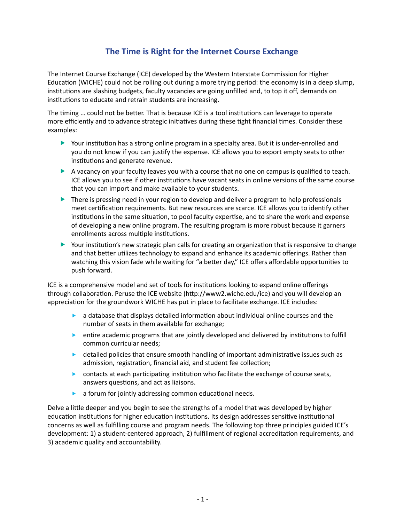# **The Time is Right for the Internet Course Exchange**

The Internet Course Exchange (ICE) developed by the Western Interstate Commission for Higher Education (WICHE) could not be rolling out during a more trying period: the economy is in a deep slump, institutions are slashing budgets, faculty vacancies are going unfilled and, to top it off, demands on institutions to educate and retrain students are increasing.

The timing … could not be better. That is because ICE is a tool institutions can leverage to operate more efficiently and to advance strategic initiatives during these tight financial times. Consider these examples:

- **Four institution has a strong online program in a specialty area. But it is under-enrolled and** you do not know if you can justify the expense. ICE allows you to export empty seats to other institutions and generate revenue.
- $\blacktriangleright$  A vacancy on your faculty leaves you with a course that no one on campus is qualified to teach. ICE allows you to see if other institutions have vacant seats in online versions of the same course that you can import and make available to your students.
- $\blacktriangleright$  There is pressing need in your region to develop and deliver a program to help professionals meet certification requirements. But new resources are scarce. ICE allows you to identify other institutions in the same situation, to pool faculty expertise, and to share the work and expense of developing a new online program. The resulting program is more robust because it garners enrollments across multiple institutions.
- $\blacktriangleright$  Your institution's new strategic plan calls for creating an organization that is responsive to change and that better utilizes technology to expand and enhance its academic offerings. Rather than watching this vision fade while waiting for "a better day," ICE offers affordable opportunities to push forward.

ICE is a comprehensive model and set of tools for institutions looking to expand online offerings through collaboration. Peruse the ICE website (http://www2.wiche.edu/ice) and you will develop an appreciation for the groundwork WICHE has put in place to facilitate exchange. ICE includes:

- $\blacktriangleright$  a database that displays detailed information about individual online courses and the number of seats in them available for exchange;
- $\blacktriangleright$  entire academic programs that are jointly developed and delivered by institutions to fulfill common curricular needs;
- $\blacktriangleright$  detailed policies that ensure smooth handling of important administrative issues such as admission, registration, financial aid, and student fee collection;
- $\blacktriangleright$  contacts at each participating institution who facilitate the exchange of course seats, answers questions, and act as liaisons.
- $\blacktriangleright$  a forum for jointly addressing common educational needs.

Delve a little deeper and you begin to see the strengths of a model that was developed by higher education institutions for higher education institutions. Its design addresses sensitive institutional concerns as well as fulfilling course and program needs. The following top three principles guided ICE's development: 1) a student-centered approach, 2) fulfillment of regional accreditation requirements, and 3) academic quality and accountability.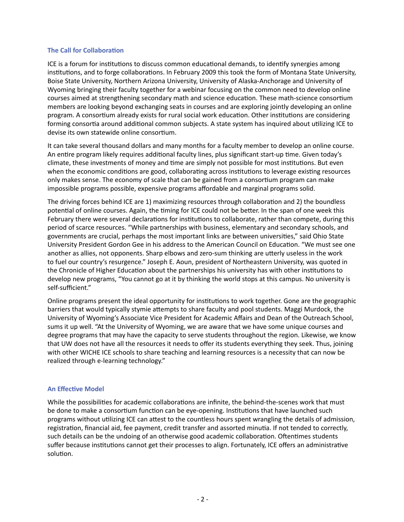### **The Call for Collaboration**

ICE is a forum for institutions to discuss common educational demands, to identify synergies among institutions, and to forge collaborations. In February 2009 this took the form of Montana State University, Boise State University, Northern Arizona University, University of Alaska-Anchorage and University of Wyoming bringing their faculty together for a webinar focusing on the common need to develop online courses aimed at strengthening secondary math and science education. These math-science consortium members are looking beyond exchanging seats in courses and are exploring jointly developing an online program. A consortium already exists for rural social work education. Other institutions are considering forming consortia around additional common subjects. A state system has inquired about utilizing ICE to devise its own statewide online consortium.

It can take several thousand dollars and many months for a faculty member to develop an online course. An entire program likely requires additional faculty lines, plus significant start-up time. Given today's climate, these investments of money and time are simply not possible for most institutions. But even when the economic conditions are good, collaborating across institutions to leverage existing resources only makes sense. The economy of scale that can be gained from a consortium program can make impossible programs possible, expensive programs affordable and marginal programs solid.

The driving forces behind ICE are 1) maximizing resources through collaboration and 2) the boundless potential of online courses. Again, the timing for ICE could not be better. In the span of one week this February there were several declarations for institutions to collaborate, rather than compete, during this period of scarce resources. "While partnerships with business, elementary and secondary schools, and governments are crucial, perhaps the most important links are between universities," said Ohio State University President Gordon Gee in his address to the American Council on Education. "We must see one another as allies, not opponents. Sharp elbows and zero-sum thinking are utterly useless in the work to fuel our country's resurgence." Joseph E. Aoun, president of Northeastern University, was quoted in the Chronicle of Higher Education about the partnerships his university has with other institutions to develop new programs, "You cannot go at it by thinking the world stops at this campus. No university is self-sufficient."

Online programs present the ideal opportunity for institutions to work together. Gone are the geographic barriers that would typically stymie attempts to share faculty and pool students. Maggi Murdock, the University of Wyoming's Associate Vice President for Academic Affairs and Dean of the Outreach School, sums it up well. "At the University of Wyoming, we are aware that we have some unique courses and degree programs that may have the capacity to serve students throughout the region. Likewise, we know that UW does not have all the resources it needs to offer its students everything they seek. Thus, joining with other WICHE ICE schools to share teaching and learning resources is a necessity that can now be realized through e-learning technology."

#### **An Effective Model**

While the possibilities for academic collaborations are infinite, the behind-the-scenes work that must be done to make a consortium function can be eye-opening. Institutions that have launched such programs without utilizing ICE can attest to the countless hours spent wrangling the details of admission, registration, financial aid, fee payment, credit transfer and assorted minutia. If not tended to correctly, such details can be the undoing of an otherwise good academic collaboration. Oftentimes students suffer because institutions cannot get their processes to align. Fortunately, ICE offers an administrative solution.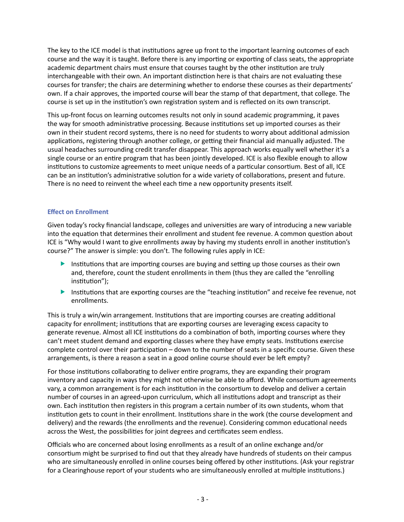The key to the ICE model is that institutions agree up front to the important learning outcomes of each course and the way it is taught. Before there is any importing or exporting of class seats, the appropriate academic department chairs must ensure that courses taught by the other institution are truly interchangeable with their own. An important distinction here is that chairs are not evaluating these courses for transfer; the chairs are determining whether to endorse these courses as their departments' own. If a chair approves, the imported course will bear the stamp of that department, that college. The course is set up in the institution's own registration system and is reflected on its own transcript.

This up-front focus on learning outcomes results not only in sound academic programming, it paves the way for smooth administrative processing. Because institutions set up imported courses as their own in their student record systems, there is no need for students to worry about additional admission applications, registering through another college, or getting their financial aid manually adjusted. The usual headaches surrounding credit transfer disappear. This approach works equally well whether it's a single course or an entire program that has been jointly developed. ICE is also flexible enough to allow institutions to customize agreements to meet unique needs of a particular consortium. Best of all, ICE can be an institution's administrative solution for a wide variety of collaborations, present and future. There is no need to reinvent the wheel each time a new opportunity presents itself.

## **Effect on Enrollment**

Given today's rocky financial landscape, colleges and universities are wary of introducing a new variable into the equation that determines their enrollment and student fee revenue. A common question about ICE is "Why would I want to give enrollments away by having my students enroll in another institution's course?" The answer is simple: you don't. The following rules apply in ICE:

- $\blacktriangleright$  Institutions that are importing courses are buying and setting up those courses as their own and, therefore, count the student enrollments in them (thus they are called the "enrolling institution");
- **Follo Institutions that are exporting courses are the "teaching institution" and receive fee revenue, not** enrollments.

This is truly a win/win arrangement. Institutions that are importing courses are creating additional capacity for enrollment; institutions that are exporting courses are leveraging excess capacity to generate revenue. Almost all ICE institutions do a combination of both, importing courses where they can't meet student demand and exporting classes where they have empty seats. Institutions exercise complete control over their participation – down to the number of seats in a specific course. Given these arrangements, is there a reason a seat in a good online course should ever be left empty?

For those institutions collaborating to deliver entire programs, they are expanding their program inventory and capacity in ways they might not otherwise be able to afford. While consortium agreements vary, a common arrangement is for each institution in the consortium to develop and deliver a certain number of courses in an agreed-upon curriculum, which all institutions adopt and transcript as their own. Each institution then registers in this program a certain number of its own students, whom that institution gets to count in their enrollment. Institutions share in the work (the course development and delivery) and the rewards (the enrollments and the revenue). Considering common educational needs across the West, the possibilities for joint degrees and certificates seem endless.

Officials who are concerned about losing enrollments as a result of an online exchange and/or consortium might be surprised to find out that they already have hundreds of students on their campus who are simultaneously enrolled in online courses being offered by other institutions. (Ask your registrar for a Clearinghouse report of your students who are simultaneously enrolled at multiple institutions.)